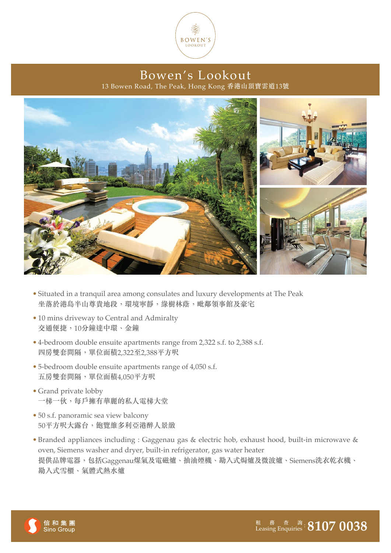

Bowen's Lookout 13 Bowen Road, The Peak, Hong Kong 香港山頂寶雲道13號



- Situated in a tranquil area among consulates and luxury developments at The Peak 坐落於港島半山尊貴地段,環境寧靜,綠樹林蔭,毗鄰領事館及豪宅
- 10 mins driveway to Central and Admiralty 交通便捷,10分鐘達中環、金鐘
- 4-bedroom double ensuite apartments range from 2,322 s.f. to 2,388 s.f. 四房雙套間隔,單位面積2,322至2,388平方呎
- 5-bedroom double ensuite apartments range of 4,050 s.f. 五房雙套間隔,單位面積4,050平方呎
- Grand private lobby 一梯一伙,每戶擁有華麗的私人電梯大堂
- 50 s.f. panoramic sea view balcony 50平方呎大露台,飽覽維多利亞港醉人景緻
- Branded appliances including : Gaggenau gas & electric hob, exhaust hood, built-in microwave & oven, Siemens washer and dryer, built-in refrigerator, gas water heater 提供品牌電器,包括Gaggenau煤氣及電磁爐、抽油煙機、勘入式焗爐及微波爐、Siemens洗衣乾衣機、 勘入式雪櫃、氣體式熱水爐